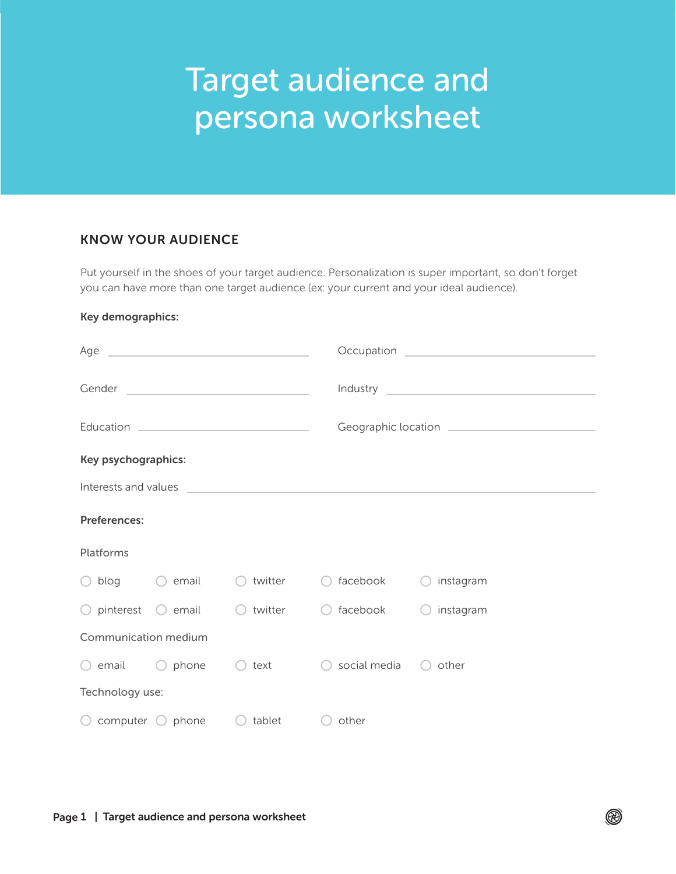# Target audience and persona worksheet

# KNOW YOUR AUDIENCE

Put yourself in the shoes of your target audience. Personalization is super important, so don't forget you can have more than one target audience (ex: your current and your ideal audience).

#### Key demographics:

| Age<br><u> 1989 - John Stone, Amerikaansk politiker (</u>                                                                      |                  |                                                          |                         |           |  |  |
|--------------------------------------------------------------------------------------------------------------------------------|------------------|----------------------------------------------------------|-------------------------|-----------|--|--|
|                                                                                                                                |                  |                                                          |                         |           |  |  |
| Gender<br><u> 1989 - Johann Barbara, martin amerikan basal dan berasal dan berasal dalam basal dan berasal dan berasal dan</u> |                  |                                                          |                         |           |  |  |
|                                                                                                                                |                  |                                                          |                         |           |  |  |
| Key psychographics:                                                                                                            |                  |                                                          |                         |           |  |  |
| Interests and values<br><u> 1980 - Johann John Stein, marwolaethau (b. 1980)</u>                                               |                  |                                                          |                         |           |  |  |
| Preferences:                                                                                                                   |                  |                                                          |                         |           |  |  |
| Platforms                                                                                                                      |                  |                                                          |                         |           |  |  |
| $\bigcirc$ blog $\bigcirc$ email                                                                                               |                  | twitter                                                  | facebook                | instagram |  |  |
| $\bigcirc$ pinterest                                                                                                           | $\bigcirc$ email | twitter<br>$\left( \begin{array}{c} \end{array} \right)$ | facebook                | instagram |  |  |
| Communication medium                                                                                                           |                  |                                                          |                         |           |  |  |
| $\bigcirc$ email $\bigcirc$ phone                                                                                              |                  | text<br>(                                                | social media $\bigcirc$ | other     |  |  |
| Technology use:                                                                                                                |                  |                                                          |                         |           |  |  |
| $\bigcirc$ computer $\bigcirc$ phone                                                                                           |                  | tablet                                                   | other                   |           |  |  |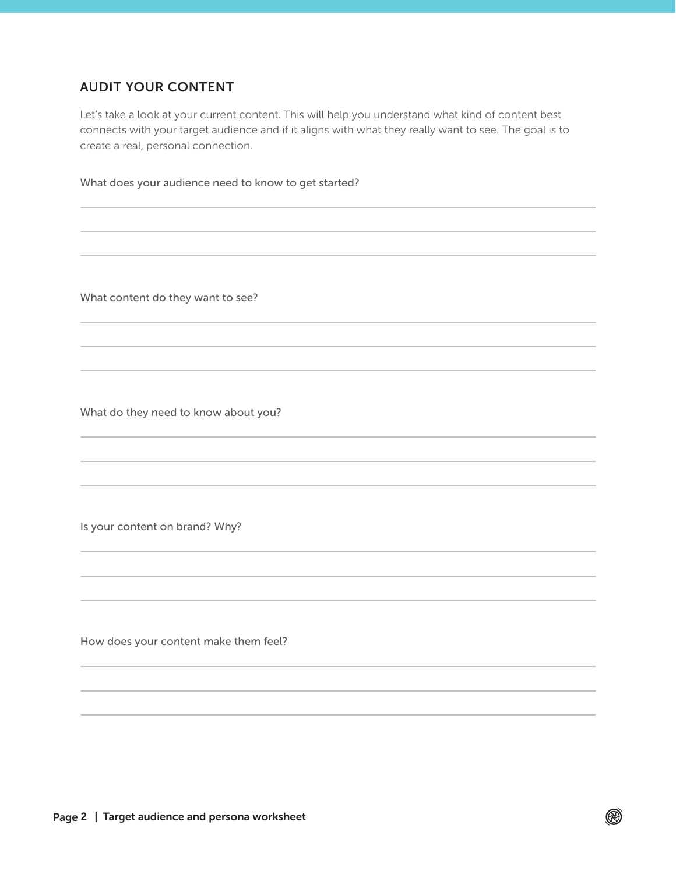# AUDIT YOUR CONTENT

Let's take a look at your current content. This will help you understand what kind of content best connects with your target audience and if it aligns with what they really want to see. The goal is to create a real, personal connection.

 $\circledR$ 

What does your audience need to know to get started?

What content do they want to see?

What do they need to know about you?

Is your content on brand? Why?

How does your content make them feel?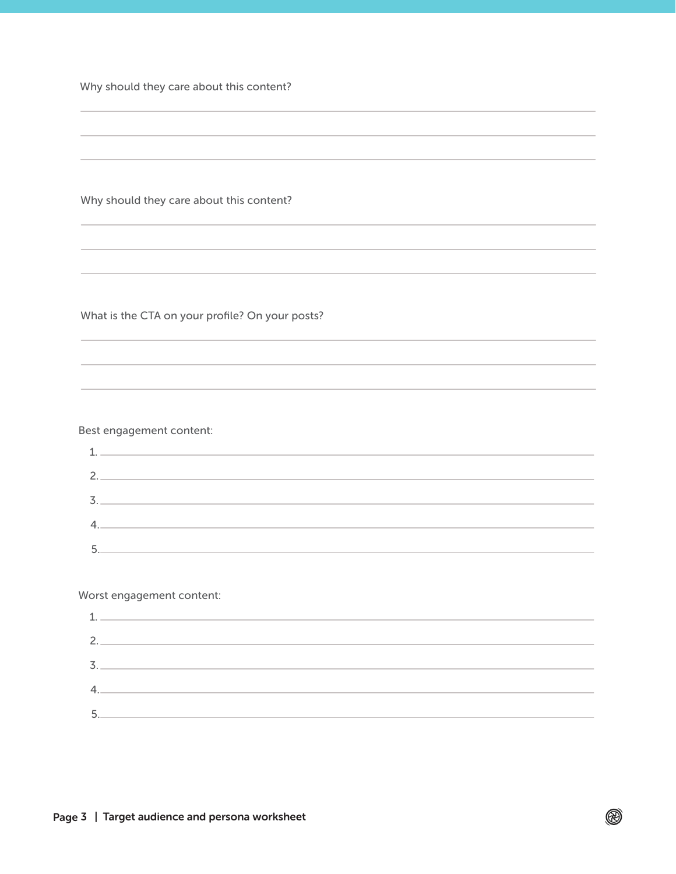Why should they care about this content?

Why should they care about this content?

What is the CTA on your profile? On your posts?

#### Best engagement content:

| $\sim$               | <u> 1980 - Johann John Stein, marwolaethau (b. 1980)</u>                                                             |
|----------------------|----------------------------------------------------------------------------------------------------------------------|
| 2.                   | <u> 1989 - Johann John Stein, markin film yn y brening yn y brening yn y brening yn y brening y brening yn y bre</u> |
| $\overline{z}$<br>J. |                                                                                                                      |
| 4.                   | <u> 1980 - Jan Barbara Barbara, masa kacamatan ing kabupatèn Jan Barbara Barbara Barbara Barbara Barbara Barbara</u> |
|                      |                                                                                                                      |

Worst engagement content:

| 1.  |  |
|-----|--|
| 2.  |  |
| 3.  |  |
| 4.1 |  |
| 5.  |  |